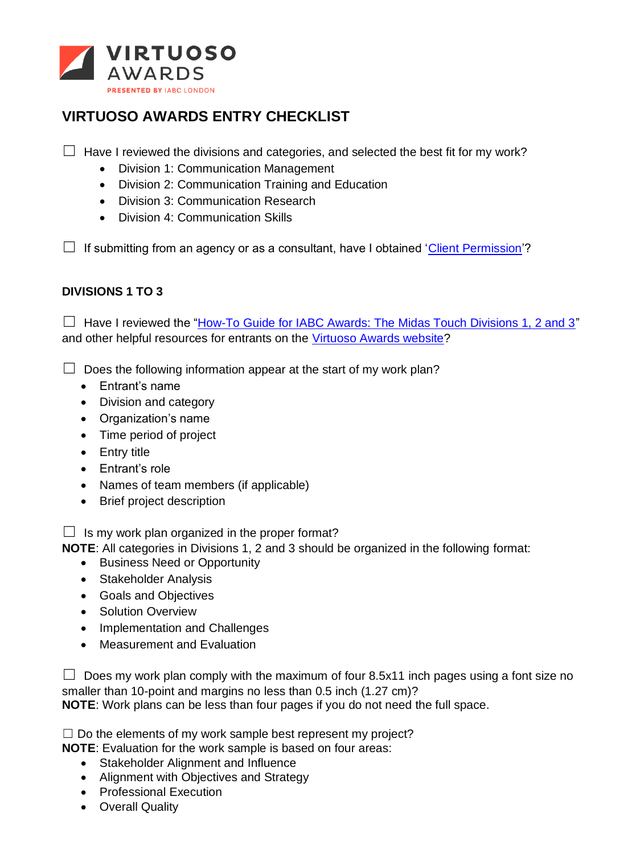

# **VIRTUOSO AWARDS ENTRY CHECKLIST**

 $\Box$  Have I reviewed the divisions and categories, and selected the best fit for my work?

- Division 1: Communication Management
- Division 2: Communication Training and Education
- Division 3: Communication Research
- Division 4: Communication Skills

 $\Box$  If submitting from an agency or as a consultant, have I obtained ['Client Permission'](https://www.virtuosoawards.com/wp-content/uploads/Virtuoso-Permission-Letter-Template.docx)?

# **DIVISIONS 1 TO 3**

 $\Box$  Have I reviewed the ["How-To Guide for IABC Awards: The Midas Touch Divisions 1, 2 and 3"](https://www.virtuosoawards.com/wp-content/uploads/How-To-Guide-for-IABC-Award-Entries-Divisions-1-2-3-Virtuoso.pdf) and other helpful resources for entrants on the [Virtuoso Awards website?](https://www.virtuosoawards.com/resources/)

 $\Box$  Does the following information appear at the start of my work plan?

- Entrant's name
- Division and category
- Organization's name
- Time period of project
- Entry title
- Entrant's role
- Names of team members (if applicable)
- Brief project description

 $\Box$  Is my work plan organized in the proper format?

**NOTE**: All categories in Divisions 1, 2 and 3 should be organized in the following format:

- Business Need or Opportunity
- Stakeholder Analysis
- Goals and Objectives
- Solution Overview
- Implementation and Challenges
- Measurement and Evaluation

 $\Box$  Does my work plan comply with the maximum of four 8.5x11 inch pages using a font size no smaller than 10-point and margins no less than 0.5 inch (1.27 cm)? **NOTE**: Work plans can be less than four pages if you do not need the full space.

 $\Box$  Do the elements of my work sample best represent my project?

**NOTE**: Evaluation for the work sample is based on four areas:

- Stakeholder Alignment and Influence
- Alignment with Objectives and Strategy
- Professional Execution
- Overall Quality